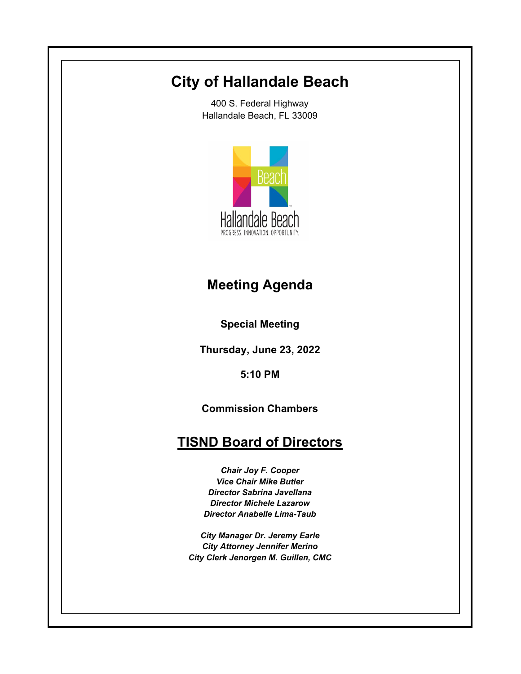# **City of Hallandale Beach**

400 S. Federal Highway Hallandale Beach, FL 33009



# **Meeting Agenda**

**Special Meeting**

**Thursday, June 23, 2022**

**5:10 PM**

**Commission Chambers**

# **TISND Board of Directors**

*Chair Joy F. Cooper Vice Chair Mike Butler Director Sabrina Javellana Director Michele Lazarow Director Anabelle Lima-Taub*

*City Manager Dr. Jeremy Earle City Attorney Jennifer Merino City Clerk Jenorgen M. Guillen, CMC*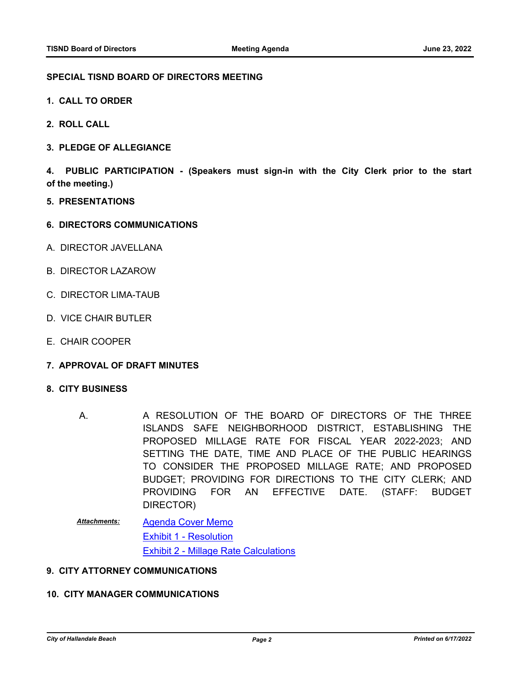#### **SPECIAL TISND BOARD OF DIRECTORS MEETING**

- **1. CALL TO ORDER**
- **2. ROLL CALL**
- **3. PLEDGE OF ALLEGIANCE**

**4. PUBLIC PARTICIPATION - (Speakers must sign-in with the City Clerk prior to the start of the meeting.)**

- **5. PRESENTATIONS**
- **6. DIRECTORS COMMUNICATIONS**
- A. DIRECTOR JAVELLANA
- B. DIRECTOR LAZAROW
- C. DIRECTOR LIMA-TAUB
- D. VICE CHAIR BUTLER
- E. CHAIR COOPER
- **7. APPROVAL OF DRAFT MINUTES**

#### **8. CITY BUSINESS**

- A RESOLUTION OF THE BOARD OF DIRECTORS OF THE THREE ISLANDS SAFE NEIGHBORHOOD DISTRICT, ESTABLISHING THE PROPOSED MILLAGE RATE FOR FISCAL YEAR 2022-2023; AND SETTING THE DATE, TIME AND PLACE OF THE PUBLIC HEARINGS TO CONSIDER THE PROPOSED MILLAGE RATE; AND PROPOSED BUDGET; PROVIDING FOR DIRECTIONS TO THE CITY CLERK; AND PROVIDING FOR AN EFFECTIVE DATE. (STAFF: BUDGET DIRECTOR) A.
- [Agenda Cover Memo](http://hallandalebeach.legistar.com/gateway.aspx?M=F&ID=4aef33bc-e934-4bae-bda7-ae32a569c1fe.docx) [Exhibit 1 - Resolution](http://hallandalebeach.legistar.com/gateway.aspx?M=F&ID=57efd3cf-af84-4e10-8011-c1380f38f4be.docx) [Exhibit 2 - Millage Rate Calculations](http://hallandalebeach.legistar.com/gateway.aspx?M=F&ID=d1e24a99-d7bb-4930-966f-e3b519d9dd17.pdf) *Attachments:*

### **9. CITY ATTORNEY COMMUNICATIONS**

## **10. CITY MANAGER COMMUNICATIONS**